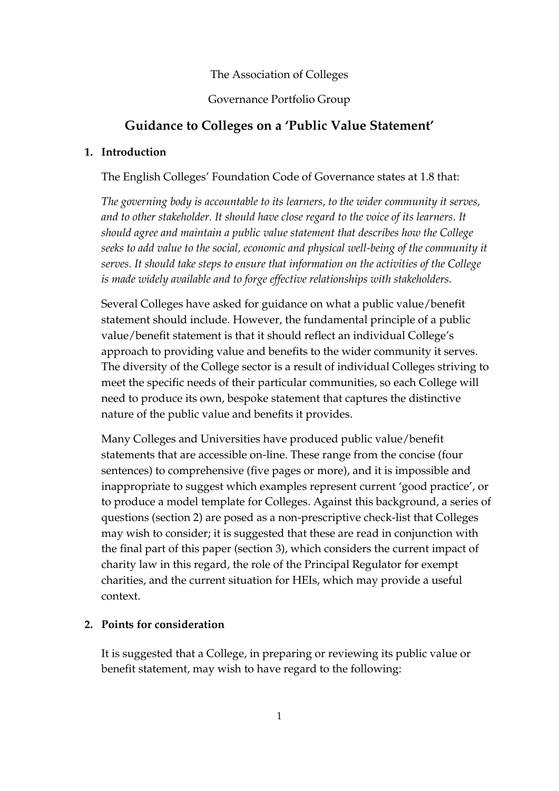#### The Association of Colleges

#### Governance Portfolio Group

## **Guidance to Colleges on a 'Public Value Statement'**

#### **1. Introduction**

The English Colleges' Foundation Code of Governance states at 1.8 that:

*The governing body is accountable to its learners, to the wider community it serves, and to other stakeholder. It should have close regard to the voice of its learners. It should agree and maintain a public value statement that describes how the College seeks to add value to the social, economic and physical well-being of the community it serves. It should take steps to ensure that information on the activities of the College is made widely available and to forge effective relationships with stakeholders.*

Several Colleges have asked for guidance on what a public value/benefit statement should include. However, the fundamental principle of a public value/benefit statement is that it should reflect an individual College's approach to providing value and benefits to the wider community it serves. The diversity of the College sector is a result of individual Colleges striving to meet the specific needs of their particular communities, so each College will need to produce its own, bespoke statement that captures the distinctive nature of the public value and benefits it provides.

Many Colleges and Universities have produced public value/benefit statements that are accessible on-line. These range from the concise (four sentences) to comprehensive (five pages or more), and it is impossible and inappropriate to suggest which examples represent current 'good practice', or to produce a model template for Colleges. Against this background, a series of questions (section 2) are posed as a non-prescriptive check-list that Colleges may wish to consider; it is suggested that these are read in conjunction with the final part of this paper (section 3), which considers the current impact of charity law in this regard, the role of the Principal Regulator for exempt charities, and the current situation for HEIs, which may provide a useful context.

#### **2. Points for consideration**

It is suggested that a College, in preparing or reviewing its public value or benefit statement, may wish to have regard to the following: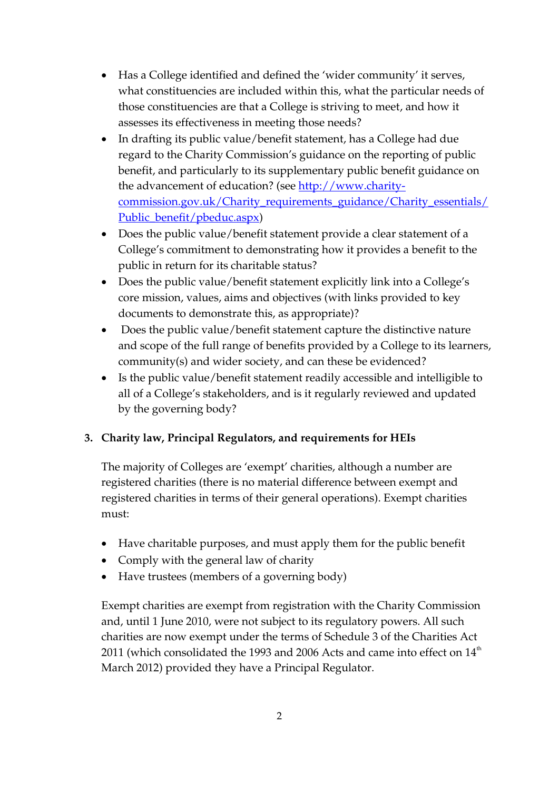- Has a College identified and defined the 'wider community' it serves, what constituencies are included within this, what the particular needs of those constituencies are that a College is striving to meet, and how it assesses its effectiveness in meeting those needs?
- In drafting its public value/benefit statement, has a College had due regard to the Charity Commission's guidance on the reporting of public benefit, and particularly to its supplementary public benefit guidance on the advancement of education? (see [http://www.charity](http://www.charity-commission.gov.uk/Charity_requirements_guidance/Charity_essentials/Public_benefit/pbeduc.aspx)[commission.gov.uk/Charity\\_requirements\\_guidance/Charity\\_essentials/](http://www.charity-commission.gov.uk/Charity_requirements_guidance/Charity_essentials/Public_benefit/pbeduc.aspx) [Public\\_benefit/pbeduc.aspx\)](http://www.charity-commission.gov.uk/Charity_requirements_guidance/Charity_essentials/Public_benefit/pbeduc.aspx)
- Does the public value/benefit statement provide a clear statement of a College's commitment to demonstrating how it provides a benefit to the public in return for its charitable status?
- Does the public value/benefit statement explicitly link into a College's core mission, values, aims and objectives (with links provided to key documents to demonstrate this, as appropriate)?
- Does the public value/benefit statement capture the distinctive nature and scope of the full range of benefits provided by a College to its learners, community(s) and wider society, and can these be evidenced?
- Is the public value/benefit statement readily accessible and intelligible to all of a College's stakeholders, and is it regularly reviewed and updated by the governing body?

# **3. Charity law, Principal Regulators, and requirements for HEIs**

The majority of Colleges are 'exempt' charities, although a number are registered charities (there is no material difference between exempt and registered charities in terms of their general operations). Exempt charities must:

- Have charitable purposes, and must apply them for the public benefit
- Comply with the general law of charity
- Have trustees (members of a governing body)

Exempt charities are exempt from registration with the Charity Commission and, until 1 June 2010, were not subject to its regulatory powers. All such charities are now exempt under the terms of Schedule 3 of the Charities Act 2011 (which consolidated the 1993 and 2006 Acts and came into effect on  $14<sup>th</sup>$ March 2012) provided they have a Principal Regulator.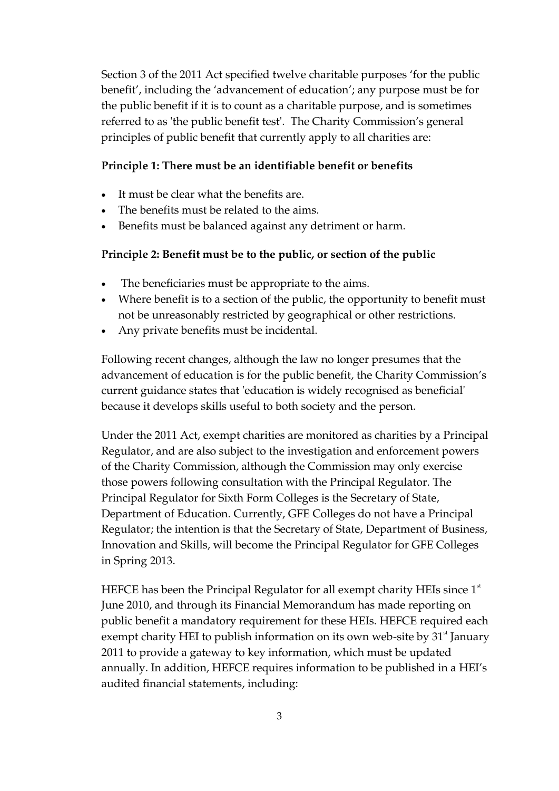Section 3 of the 2011 Act specified twelve charitable purposes 'for the public benefit', including the 'advancement of education'; any purpose must be for the public benefit if it is to count as a charitable purpose, and is sometimes referred to as 'the public benefit test'. The Charity Commission's general principles of public benefit that currently apply to all charities are:

## **Principle 1: There must be an identifiable benefit or benefits**

- It must be clear what the benefits are.
- The benefits must be related to the aims.
- Benefits must be balanced against any detriment or harm.

### **Principle 2: Benefit must be to the public, or section of the public**

- The beneficiaries must be appropriate to the aims.
- Where benefit is to a section of the public, the opportunity to benefit must not be unreasonably restricted by geographical or other restrictions.
- Any private benefits must be incidental.

Following recent changes, although the law no longer presumes that the advancement of education is for the public benefit, the Charity Commission's current guidance states that 'education is widely recognised as beneficial' because it develops skills useful to both society and the person.

Under the 2011 Act, exempt charities are monitored as charities by a Principal Regulator, and are also subject to the investigation and enforcement powers of the Charity Commission, although the Commission may only exercise those powers following consultation with the Principal Regulator. The Principal Regulator for Sixth Form Colleges is the Secretary of State, Department of Education. Currently, GFE Colleges do not have a Principal Regulator; the intention is that the Secretary of State, Department of Business, Innovation and Skills, will become the Principal Regulator for GFE Colleges in Spring 2013.

HEFCE has been the Principal Regulator for all exempt charity HEIs since  $1<sup>st</sup>$ June 2010, and through its Financial Memorandum has made reporting on public benefit a mandatory requirement for these HEIs. HEFCE required each exempt charity HEI to publish information on its own web-site by  $31^{\circ}$  January 2011 to provide a gateway to key information, which must be updated annually. In addition, HEFCE requires information to be published in a HEI's audited financial statements, including: